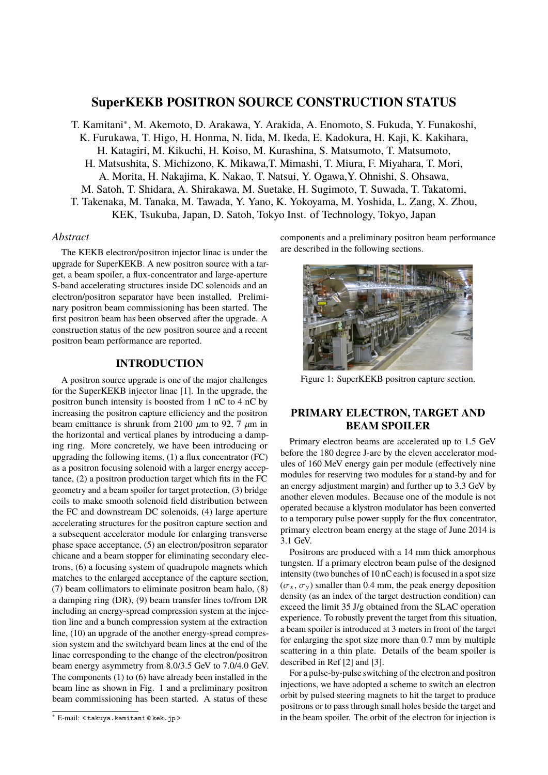# **SuperKEKB POSITRON SOURCE CONSTRUCTION STATUS**

T. Kamitani<sup>∗</sup> , M. Akemoto, D. Arakawa, Y. Arakida, A. Enomoto, S. Fukuda, Y. Funakoshi, K. Furukawa, T. Higo, H. Honma, N. Iida, M. Ikeda, E. Kadokura, H. Kaji, K. Kakihara, H. Katagiri, M. Kikuchi, H. Koiso, M. Kurashina, S. Matsumoto, T. Matsumoto, H. Matsushita, S. Michizono, K. Mikawa,T. Mimashi, T. Miura, F. Miyahara, T. Mori, A. Morita, H. Nakajima, K. Nakao, T. Natsui, Y. Ogawa,Y. Ohnishi, S. Ohsawa, M. Satoh, T. Shidara, A. Shirakawa, M. Suetake, H. Sugimoto, T. Suwada, T. Takatomi, T. Takenaka, M. Tanaka, M. Tawada, Y. Yano, K. Yokoyama, M. Yoshida, L. Zang, X. Zhou, KEK, Tsukuba, Japan, D. Satoh, Tokyo Inst. of Technology, Tokyo, Japan

#### *Abstract*

The KEKB electron/positron injector linac is under the upgrade for SuperKEKB. A new positron source with a target, a beam spoiler, a flux-concentrator and large-aperture S-band accelerating structures inside DC solenoids and an electron/positron separator have been installed. Preliminary positron beam commissioning has been started. The first positron beam has been observed after the upgrade. A construction status of the new positron source and a recent positron beam performance are reported.

## **INTRODUCTION**

A positron source upgrade is one of the major challenges for the SuperKEKB injector linac [1]. In the upgrade, the positron bunch intensity is boosted from 1 nC to 4 nC by increasing the positron capture efficiency and the positron beam emittance is shrunk from 2100  $\mu$ m to 92, 7  $\mu$ m in the horizontal and vertical planes by introducing a damping ring. More concretely, we have been introducing or upgrading the following items, (1) a flux concentrator (FC) as a positron focusing solenoid with a larger energy acceptance, (2) a positron production target which fits in the FC geometry and a beam spoiler for target protection, (3) bridge coils to make smooth solenoid field distribution between the FC and downstream DC solenoids, (4) large aperture accelerating structures for the positron capture section and a subsequent accelerator module for enlarging transverse phase space acceptance, (5) an electron/positron separator chicane and a beam stopper for eliminating secondary electrons, (6) a focusing system of quadrupole magnets which matches to the enlarged acceptance of the capture section, (7) beam collimators to eliminate positron beam halo, (8) a damping ring (DR), (9) beam transfer lines to/from DR including an energy-spread compression system at the injection line and a bunch compression system at the extraction line, (10) an upgrade of the another energy-spread compression system and the switchyard beam lines at the end of the linac corresponding to the change of the electron/positron beam energy asymmetry from 8.0/3.5 GeV to 7.0/4.0 GeV. The components (1) to (6) have already been installed in the beam line as shown in Fig. 1 and a preliminary positron beam commissioning has been started. A status of these

components and a preliminary positron beam performance are described in the following sections.



Figure 1: SuperKEKB positron capture section.

### **PRIMARY ELECTRON, TARGET AND BEAM SPOILER**

Primary electron beams are accelerated up to 1.5 GeV before the 180 degree J-arc by the eleven accelerator modules of 160 MeV energy gain per module (effectively nine modules for reserving two modules for a stand-by and for an energy adjustment margin) and further up to 3.3 GeV by another eleven modules. Because one of the module is not operated because a klystron modulator has been converted to a temporary pulse power supply for the flux concentrator, primary electron beam energy at the stage of June 2014 is 3.1 GeV.

Positrons are produced with a 14 mm thick amorphous tungsten. If a primary electron beam pulse of the designed intensity (two bunches of 10 nC each) is focused in a spot size  $(\sigma_x, \sigma_y)$  smaller than 0.4 mm, the peak energy deposition density (as an index of the target destruction condition) can exceed the limit 35 J/g obtained from the SLAC operation experience. To robustly prevent the target from this situation, a beam spoiler is introduced at 3 meters in front of the target for enlarging the spot size more than 0.7 mm by multiple scattering in a thin plate. Details of the beam spoiler is described in Ref [2] and [3].

For a pulse-by-pulse switching of the electron and positron injections, we have adopted a scheme to switch an electron orbit by pulsed steering magnets to hit the target to produce positrons or to pass through small holes beside the target and in the beam spoiler. The orbit of the electron for injection is

<sup>∗</sup> E-mail: < takuya.kamitani @ kek.jp >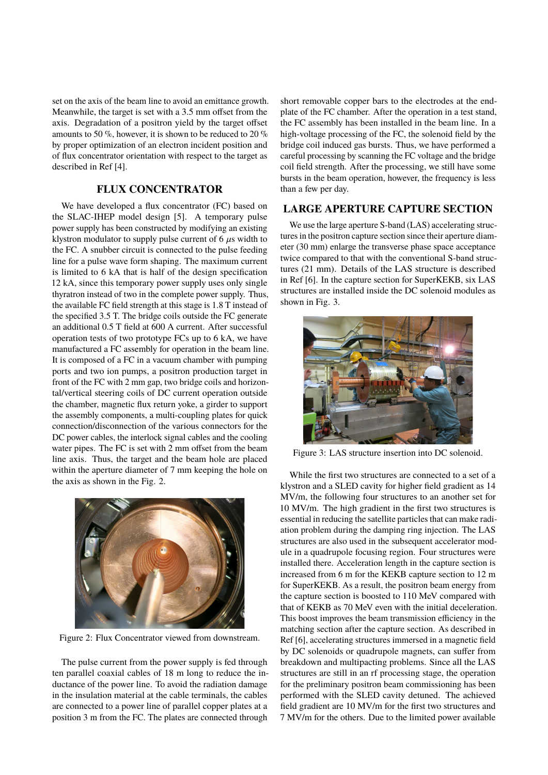set on the axis of the beam line to avoid an emittance growth. Meanwhile, the target is set with a 3.5 mm offset from the axis. Degradation of a positron yield by the target offset amounts to 50 %, however, it is shown to be reduced to 20 % by proper optimization of an electron incident position and of flux concentrator orientation with respect to the target as described in Ref [4].

### **FLUX CONCENTRATOR**

We have developed a flux concentrator (FC) based on the SLAC-IHEP model design [5]. A temporary pulse power supply has been constructed by modifying an existing klystron modulator to supply pulse current of  $6 \mu s$  width to the FC. A snubber circuit is connected to the pulse feeding line for a pulse wave form shaping. The maximum current is limited to 6 kA that is half of the design specification 12 kA, since this temporary power supply uses only single thyratron instead of two in the complete power supply. Thus, the available FC field strength at this stage is 1.8 T instead of the specified 3.5 T. The bridge coils outside the FC generate an additional 0.5 T field at 600 A current. After successful operation tests of two prototype FCs up to 6 kA, we have manufactured a FC assembly for operation in the beam line. It is composed of a FC in a vacuum chamber with pumping ports and two ion pumps, a positron production target in front of the FC with 2 mm gap, two bridge coils and horizontal/vertical steering coils of DC current operation outside the chamber, magnetic flux return yoke, a girder to support the assembly components, a multi-coupling plates for quick connection/disconnection of the various connectors for the DC power cables, the interlock signal cables and the cooling water pipes. The FC is set with 2 mm offset from the beam line axis. Thus, the target and the beam hole are placed within the aperture diameter of 7 mm keeping the hole on the axis as shown in the Fig. 2.



Figure 2: Flux Concentrator viewed from downstream.

The pulse current from the power supply is fed through ten parallel coaxial cables of 18 m long to reduce the inductance of the power line. To avoid the radiation damage in the insulation material at the cable terminals, the cables are connected to a power line of parallel copper plates at a position 3 m from the FC. The plates are connected through short removable copper bars to the electrodes at the endplate of the FC chamber. After the operation in a test stand, the FC assembly has been installed in the beam line. In a high-voltage processing of the FC, the solenoid field by the bridge coil induced gas bursts. Thus, we have performed a careful processing by scanning the FC voltage and the bridge coil field strength. After the processing, we still have some bursts in the beam operation, however, the frequency is less than a few per day.

### **LARGE APERTURE CAPTURE SECTION**

We use the large aperture S-band (LAS) accelerating structures in the positron capture section since their aperture diameter (30 mm) enlarge the transverse phase space acceptance twice compared to that with the conventional S-band structures (21 mm). Details of the LAS structure is described in Ref [6]. In the capture section for SuperKEKB, six LAS structures are installed inside the DC solenoid modules as shown in Fig. 3.



Figure 3: LAS structure insertion into DC solenoid.

While the first two structures are connected to a set of a klystron and a SLED cavity for higher field gradient as 14 MV/m, the following four structures to an another set for 10 MV/m. The high gradient in the first two structures is essential in reducing the satellite particles that can make radiation problem during the damping ring injection. The LAS structures are also used in the subsequent accelerator module in a quadrupole focusing region. Four structures were installed there. Acceleration length in the capture section is increased from 6 m for the KEKB capture section to 12 m for SuperKEKB. As a result, the positron beam energy from the capture section is boosted to 110 MeV compared with that of KEKB as 70 MeV even with the initial deceleration. This boost improves the beam transmission efficiency in the matching section after the capture section. As described in Ref [6], accelerating structures immersed in a magnetic field by DC solenoids or quadrupole magnets, can suffer from breakdown and multipacting problems. Since all the LAS structures are still in an rf processing stage, the operation for the preliminary positron beam commissioning has been performed with the SLED cavity detuned. The achieved field gradient are 10 MV/m for the first two structures and 7 MV/m for the others. Due to the limited power available